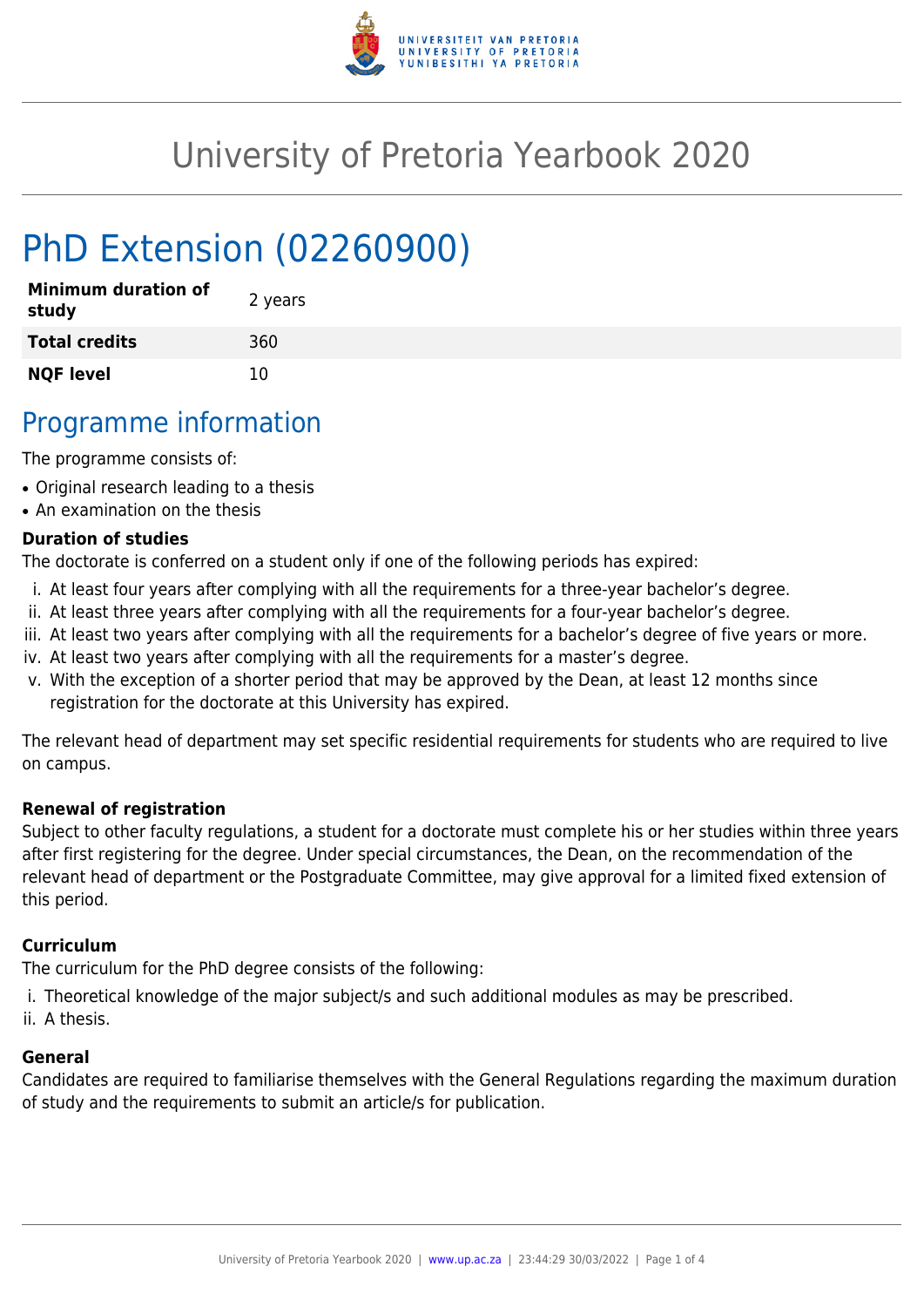

# University of Pretoria Yearbook 2020

# PhD Extension (02260900)

| <b>Minimum duration of</b><br>study | 2 years |
|-------------------------------------|---------|
| <b>Total credits</b>                | 360     |
| <b>NQF level</b>                    | 10      |

## Programme information

The programme consists of:

- Original research leading to a thesis
- An examination on the thesis

#### **Duration of studies**

The doctorate is conferred on a student only if one of the following periods has expired:

- i. At least four years after complying with all the requirements for a three-year bachelor's degree.
- ii. At least three years after complying with all the requirements for a four-year bachelor's degree.
- iii. At least two years after complying with all the requirements for a bachelor's degree of five years or more.
- iv. At least two years after complying with all the requirements for a master's degree.
- v. With the exception of a shorter period that may be approved by the Dean, at least 12 months since registration for the doctorate at this University has expired.

The relevant head of department may set specific residential requirements for students who are required to live on campus.

#### **Renewal of registration**

Subject to other faculty regulations, a student for a doctorate must complete his or her studies within three years after first registering for the degree. Under special circumstances, the Dean, on the recommendation of the relevant head of department or the Postgraduate Committee, may give approval for a limited fixed extension of this period.

#### **Curriculum**

The curriculum for the PhD degree consists of the following:

- i. Theoretical knowledge of the major subject/s and such additional modules as may be prescribed.
- ii. A thesis.

#### **General**

Candidates are required to familiarise themselves with the General Regulations regarding the maximum duration of study and the requirements to submit an article/s for publication.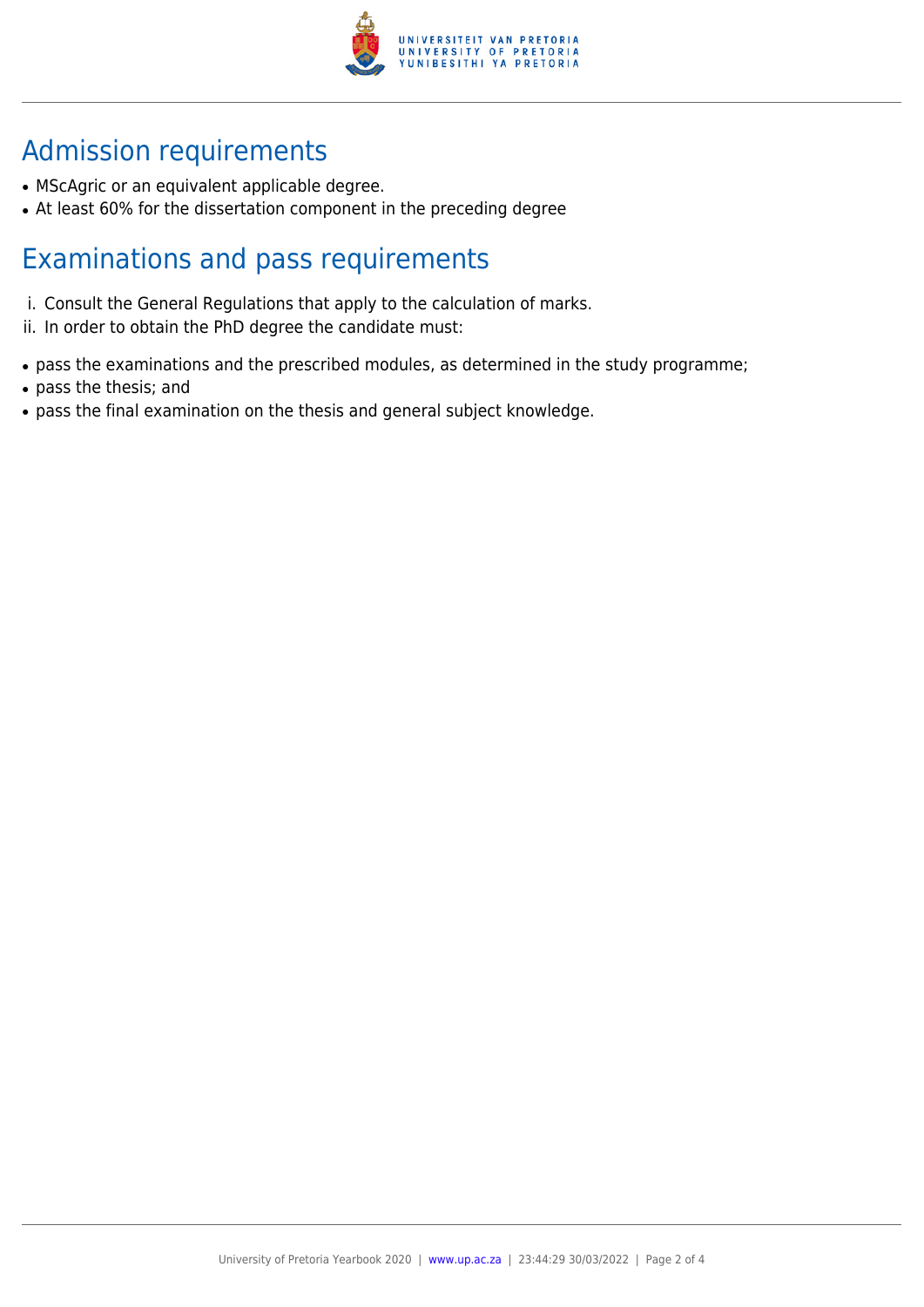

# Admission requirements

- MScAgric or an equivalent applicable degree.
- At least 60% for the dissertation component in the preceding degree

## Examinations and pass requirements

- i. Consult the General Regulations that apply to the calculation of marks.
- ii. In order to obtain the PhD degree the candidate must:
- pass the examinations and the prescribed modules, as determined in the study programme;
- pass the thesis; and
- pass the final examination on the thesis and general subject knowledge.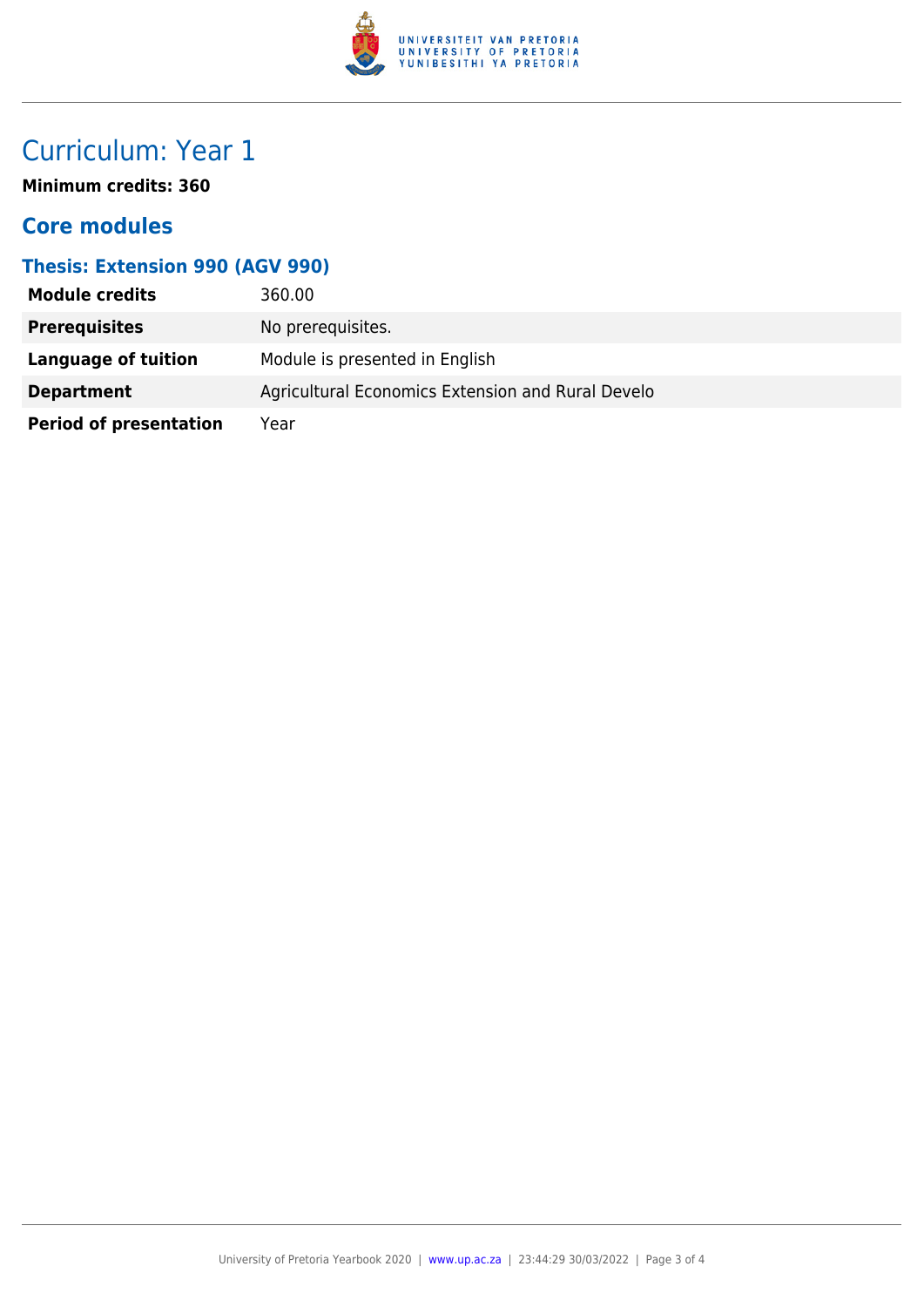

# Curriculum: Year 1

**Minimum credits: 360**

### **Core modules**

#### **Thesis: Extension 990 (AGV 990)**

| <b>Module credits</b>         | 360.00                                            |
|-------------------------------|---------------------------------------------------|
| <b>Prerequisites</b>          | No prerequisites.                                 |
| Language of tuition           | Module is presented in English                    |
| <b>Department</b>             | Agricultural Economics Extension and Rural Develo |
| <b>Period of presentation</b> | Year                                              |